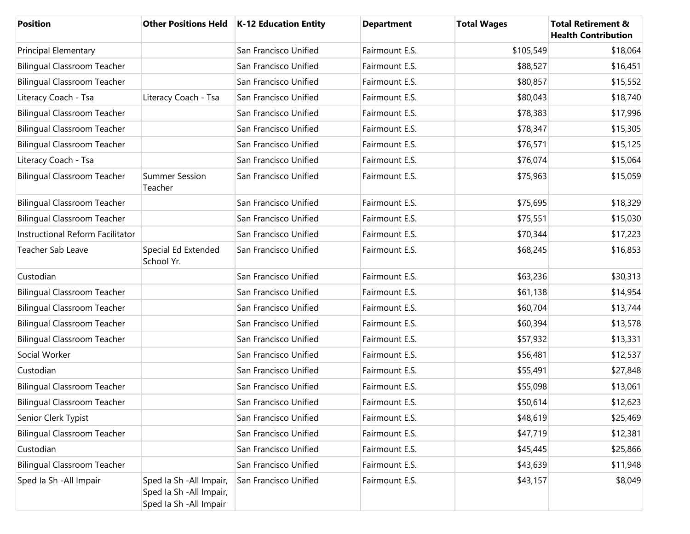| <b>Position</b>                    |                                                                                 | Other Positions Held   K-12 Education Entity | <b>Department</b> | <b>Total Wages</b> | <b>Total Retirement &amp;</b><br><b>Health Contribution</b> |
|------------------------------------|---------------------------------------------------------------------------------|----------------------------------------------|-------------------|--------------------|-------------------------------------------------------------|
| <b>Principal Elementary</b>        |                                                                                 | San Francisco Unified                        | Fairmount E.S.    | \$105,549          | \$18,064                                                    |
| <b>Bilingual Classroom Teacher</b> |                                                                                 | San Francisco Unified                        | Fairmount E.S.    | \$88,527           | \$16,451                                                    |
| <b>Bilingual Classroom Teacher</b> |                                                                                 | San Francisco Unified                        | Fairmount E.S.    | \$80,857           | \$15,552                                                    |
| Literacy Coach - Tsa               | Literacy Coach - Tsa                                                            | San Francisco Unified                        | Fairmount E.S.    | \$80,043           | \$18,740                                                    |
| <b>Bilingual Classroom Teacher</b> |                                                                                 | San Francisco Unified                        | Fairmount E.S.    | \$78,383           | \$17,996                                                    |
| <b>Bilingual Classroom Teacher</b> |                                                                                 | San Francisco Unified                        | Fairmount E.S.    | \$78,347           | \$15,305                                                    |
| <b>Bilingual Classroom Teacher</b> |                                                                                 | San Francisco Unified                        | Fairmount E.S.    | \$76,571           | \$15,125                                                    |
| Literacy Coach - Tsa               |                                                                                 | San Francisco Unified                        | Fairmount E.S.    | \$76,074           | \$15,064                                                    |
| <b>Bilingual Classroom Teacher</b> | <b>Summer Session</b><br>Teacher                                                | San Francisco Unified                        | Fairmount E.S.    | \$75,963           | \$15,059                                                    |
| <b>Bilingual Classroom Teacher</b> |                                                                                 | San Francisco Unified                        | Fairmount E.S.    | \$75,695           | \$18,329                                                    |
| <b>Bilingual Classroom Teacher</b> |                                                                                 | San Francisco Unified                        | Fairmount E.S.    | \$75,551           | \$15,030                                                    |
| Instructional Reform Facilitator   |                                                                                 | San Francisco Unified                        | Fairmount E.S.    | \$70,344           | \$17,223                                                    |
| Teacher Sab Leave                  | Special Ed Extended<br>School Yr.                                               | San Francisco Unified                        | Fairmount E.S.    | \$68,245           | \$16,853                                                    |
| Custodian                          |                                                                                 | San Francisco Unified                        | Fairmount E.S.    | \$63,236           | \$30,313                                                    |
| <b>Bilingual Classroom Teacher</b> |                                                                                 | San Francisco Unified                        | Fairmount E.S.    | \$61,138           | \$14,954                                                    |
| <b>Bilingual Classroom Teacher</b> |                                                                                 | San Francisco Unified                        | Fairmount E.S.    | \$60,704           | \$13,744                                                    |
| <b>Bilingual Classroom Teacher</b> |                                                                                 | San Francisco Unified                        | Fairmount E.S.    | \$60,394           | \$13,578                                                    |
| <b>Bilingual Classroom Teacher</b> |                                                                                 | San Francisco Unified                        | Fairmount E.S.    | \$57,932           | \$13,331                                                    |
| Social Worker                      |                                                                                 | San Francisco Unified                        | Fairmount E.S.    | \$56,481           | \$12,537                                                    |
| Custodian                          |                                                                                 | San Francisco Unified                        | Fairmount E.S.    | \$55,491           | \$27,848                                                    |
| <b>Bilingual Classroom Teacher</b> |                                                                                 | San Francisco Unified                        | Fairmount E.S.    | \$55,098           | \$13,061                                                    |
| <b>Bilingual Classroom Teacher</b> |                                                                                 | San Francisco Unified                        | Fairmount E.S.    | \$50,614           | \$12,623                                                    |
| Senior Clerk Typist                |                                                                                 | San Francisco Unified                        | Fairmount E.S.    | \$48,619           | \$25,469                                                    |
| <b>Bilingual Classroom Teacher</b> |                                                                                 | San Francisco Unified                        | Fairmount E.S.    | \$47,719           | \$12,381                                                    |
| Custodian                          |                                                                                 | San Francisco Unified                        | Fairmount E.S.    | \$45,445           | \$25,866                                                    |
| <b>Bilingual Classroom Teacher</b> |                                                                                 | San Francisco Unified                        | Fairmount E.S.    | \$43,639           | \$11,948                                                    |
| Sped Ia Sh - All Impair            | Sped Ia Sh - All Impair,<br>Sped Ia Sh - All Impair,<br>Sped Ia Sh - All Impair | San Francisco Unified                        | Fairmount E.S.    | \$43,157           | \$8,049                                                     |